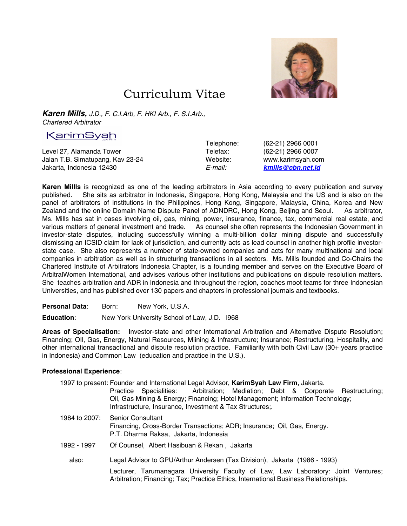

## Curriculum Vitae

*Karen Mills, J.D., F. C.I.Arb, F. HKI Arb., F. S.I.Arb., Chartered Arbitrator*

## KarimSvah

Level 27, Alamanda Tower Telefax: (62-21) 2966 0007 Jalan T.B. Simatupang, Kav 23-24 Website: www.karimsyah.com Jakarta, Indonesia 12430 *E-mail: kmills@cbn.net.id*

Telephone: (62-21) 2966 0001

**Karen Millls** is recognized as one of the leading arbitrators in Asia according to every publication and survey published. She sits as arbitrator in Indonesia, Singapore, Hong Kong, Malaysia and the US and is also on the panel of arbitrators of institutions in the Philippines, Hong Kong, Singapore, Malaysia, China, Korea and New Zealand and the online Domain Name Dispute Panel of ADNDRC, Hong Kong, Beijing and Seoul. As arbitrator, Ms. Mills has sat in cases involving oil, gas, mining, power, insurance, finance, tax, commercial real estate, and various matters of general investment and trade. As counsel she often represents the Indonesian Government in investor-state disputes, including successfully winning a multi-billion dollar mining dispute and successfully dismissing an ICSID claim for lack of jurisdiction, and currently acts as lead counsel in another high profile investorstate case. She also represents a number of state-owned companies and acts for many multinational and local companies in arbitration as well as in structuring transactions in all sectors. Ms. Mills founded and Co-Chairs the Chartered Institute of Arbitrators Indonesia Chapter, is a founding member and serves on the Executive Board of ArbitralWomen International, and advises various other institutions and publications on dispute resolution matters. She teaches arbitration and ADR in Indonesia and throughout the region, coaches moot teams for three Indonesian Universities, and has published over 130 papers and chapters in professional journals and textbooks.

Personal Data: Born: New York, U.S.A.

**Education**: New York University School of Law, J.D. l968

**Areas of Specialisation:** Investor-state and other International Arbitration and Alternative Dispute Resolution; Financing; OIl, Gas, Energy, Natural Resources, Miining & Infrastructure; Insurance; Restructuring, Hospitality, and other international transactional and dispute resolution practice. Familiarity with both Civil Law (30+ years practice in Indonesia) and Common Law (education and practice in the U.S.).

## **Professional Experience**:

|               | 1997 to present: Founder and International Legal Advisor, KarimSyah Law Firm, Jakarta.<br>Practice Specialities: Arbitration; Mediation; Debt & Corporate Restructuring;<br>Oil, Gas Mining & Energy; Financing; Hotel Management; Information Technology;<br>Infrastructure, Insurance, Investment & Tax Structures; |
|---------------|-----------------------------------------------------------------------------------------------------------------------------------------------------------------------------------------------------------------------------------------------------------------------------------------------------------------------|
| 1984 to 2007: | <b>Senior Consultant</b><br>Financing, Cross-Border Transactions; ADR; Insurance; Oil, Gas, Energy.<br>P.T. Dharma Raksa, Jakarta, Indonesia                                                                                                                                                                          |
| 1992 - 1997   | Of Counsel, Albert Hasibuan & Rekan, Jakarta                                                                                                                                                                                                                                                                          |
| also:         | Legal Advisor to GPU/Arthur Andersen (Tax Division), Jakarta (1986 - 1993)                                                                                                                                                                                                                                            |
|               | Lecturer, Tarumanagara University Faculty of Law, Law Laboratory: Joint Ventures;<br>Arbitration; Financing; Tax; Practice Ethics, International Business Relationships.                                                                                                                                              |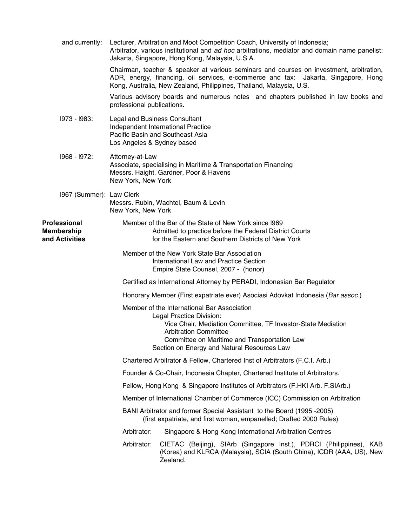| and currently:                               | Lecturer, Arbitration and Moot Competition Coach, University of Indonesia;<br>Arbitrator, various institutional and ad hoc arbitrations, mediator and domain name panelist:<br>Jakarta, Singapore, Hong Kong, Malaysia, U.S.A.                                         |
|----------------------------------------------|------------------------------------------------------------------------------------------------------------------------------------------------------------------------------------------------------------------------------------------------------------------------|
|                                              | Chairman, teacher & speaker at various seminars and courses on investment, arbitration,<br>ADR, energy, financing, oil services, e-commerce and tax: Jakarta, Singapore, Hong<br>Kong, Australia, New Zealand, Philippines, Thailand, Malaysia, U.S.                   |
|                                              | Various advisory boards and numerous notes and chapters published in law books and<br>professional publications.                                                                                                                                                       |
| 1973 - 1983:                                 | <b>Legal and Business Consultant</b><br>Independent International Practice<br>Pacific Basin and Southeast Asia<br>Los Angeles & Sydney based                                                                                                                           |
| I968 - I972:                                 | Attorney-at-Law<br>Associate, specialising in Maritime & Transportation Financing<br>Messrs. Haight, Gardner, Poor & Havens<br>New York, New York                                                                                                                      |
| 1967 (Summer): Law Clerk                     | Messrs. Rubin, Wachtel, Baum & Levin<br>New York, New York                                                                                                                                                                                                             |
| Professional<br>Membership<br>and Activities | Member of the Bar of the State of New York since 1969<br>Admitted to practice before the Federal District Courts<br>for the Eastern and Southern Districts of New York                                                                                                 |
|                                              | Member of the New York State Bar Association<br>International Law and Practice Section<br>Empire State Counsel, 2007 - (honor)                                                                                                                                         |
|                                              | Certified as International Attorney by PERADI, Indonesian Bar Regulator                                                                                                                                                                                                |
|                                              | Honorary Member (First expatriate ever) Asociasi Adovkat Indonesia (Bar assoc.)                                                                                                                                                                                        |
|                                              | Member of the International Bar Association<br>Legal Practice Division:<br>Vice Chair, Mediation Committee, TF Investor-State Mediation<br><b>Arbitration Committee</b><br>Committee on Maritime and Transportation Law<br>Section on Energy and Natural Resources Law |
|                                              | Chartered Arbitrator & Fellow, Chartered Inst of Arbitrators (F.C.I. Arb.)                                                                                                                                                                                             |
|                                              | Founder & Co-Chair, Indonesia Chapter, Chartered Institute of Arbitrators.                                                                                                                                                                                             |
|                                              | Fellow, Hong Kong & Singapore Institutes of Arbitrators (F.HKI Arb. F.SIArb.)                                                                                                                                                                                          |
|                                              | Member of International Chamber of Commerce (ICC) Commission on Arbitration                                                                                                                                                                                            |
|                                              | BANI Arbitrator and former Special Assistant to the Board (1995 -2005)<br>(first expatriate, and first woman, empanelled; Drafted 2000 Rules)                                                                                                                          |
|                                              | Arbitrator:<br>Singapore & Hong Kong International Arbitration Centres                                                                                                                                                                                                 |
|                                              | CIETAC (Beijing), SIArb (Singapore Inst.), PDRCI (Philippines), KAB<br>Arbitrator:<br>(Korea) and KLRCA (Malaysia), SCIA (South China), ICDR (AAA, US), New<br>Zealand.                                                                                                |